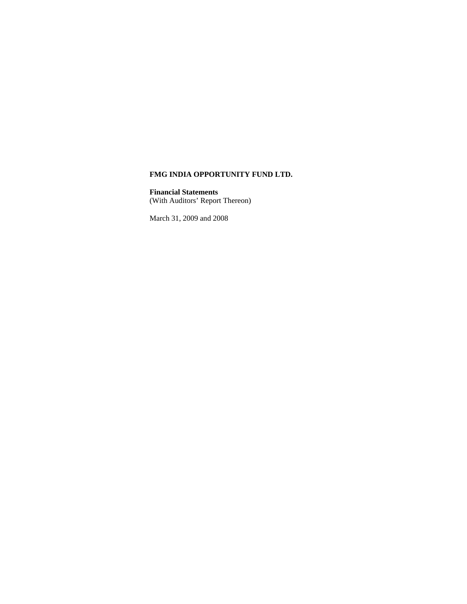**Financial Statements**

(With Auditors' Report Thereon)

March 31, 2009 and 2008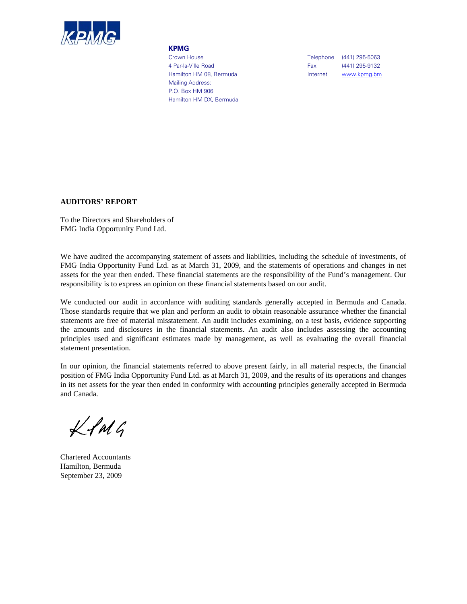

#### **KPMG**

 Mailing Address: P.O. Box HM 906 Hamilton HM DX, Bermuda

Crown House Crown House Crown House Crown House 4 Par-la-Ville Road **Fax** (441) 295-9132 Hamilton HM 08, Bermuda Internet Www.kpmg.bm

# **AUDITORS' REPORT**

To the Directors and Shareholders of FMG India Opportunity Fund Ltd.

We have audited the accompanying statement of assets and liabilities, including the schedule of investments, of FMG India Opportunity Fund Ltd. as at March 31, 2009, and the statements of operations and changes in net assets for the year then ended. These financial statements are the responsibility of the Fund's management. Our responsibility is to express an opinion on these financial statements based on our audit.

We conducted our audit in accordance with auditing standards generally accepted in Bermuda and Canada. Those standards require that we plan and perform an audit to obtain reasonable assurance whether the financial statements are free of material misstatement. An audit includes examining, on a test basis, evidence supporting the amounts and disclosures in the financial statements. An audit also includes assessing the accounting principles used and significant estimates made by management, as well as evaluating the overall financial statement presentation.

In our opinion, the financial statements referred to above present fairly, in all material respects, the financial position of FMG India Opportunity Fund Ltd. as at March 31, 2009, and the results of its operations and changes in its net assets for the year then ended in conformity with accounting principles generally accepted in Bermuda and Canada.

 $Lf$ M $G$ 

Chartered Accountants Hamilton, Bermuda September 23, 2009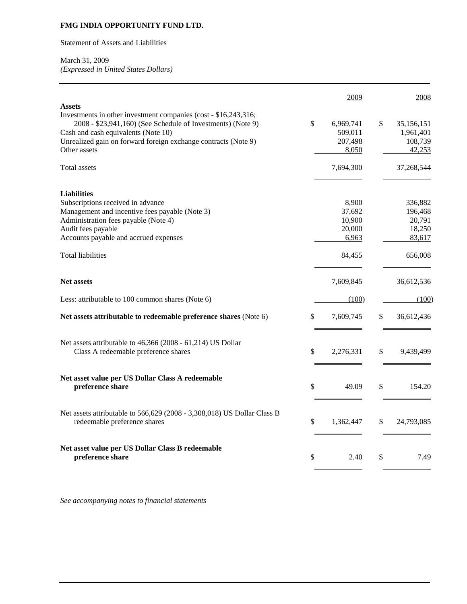Statement of Assets and Liabilities

# March 31, 2009

*(Expressed in United States Dollars)*

| <b>Assets</b>                                                                                                                                                                                                                                           |              | 2009                                         | 2008                                               |
|---------------------------------------------------------------------------------------------------------------------------------------------------------------------------------------------------------------------------------------------------------|--------------|----------------------------------------------|----------------------------------------------------|
| Investments in other investment companies (cost - \$16,243,316;<br>2008 - \$23,941,160) (See Schedule of Investments) (Note 9)<br>Cash and cash equivalents (Note 10)<br>Unrealized gain on forward foreign exchange contracts (Note 9)<br>Other assets | $\mathbb{S}$ | 6,969,741<br>509,011<br>207,498<br>8,050     | \$<br>35,156,151<br>1,961,401<br>108,739<br>42,253 |
| Total assets                                                                                                                                                                                                                                            |              | 7,694,300                                    | 37,268,544                                         |
| <b>Liabilities</b><br>Subscriptions received in advance<br>Management and incentive fees payable (Note 3)<br>Administration fees payable (Note 4)<br>Audit fees payable<br>Accounts payable and accrued expenses                                        |              | 8,900<br>37,692<br>10,900<br>20,000<br>6,963 | 336,882<br>196,468<br>20,791<br>18,250<br>83,617   |
| <b>Total liabilities</b>                                                                                                                                                                                                                                |              | 84,455                                       | 656,008                                            |
| <b>Net assets</b>                                                                                                                                                                                                                                       |              | 7,609,845                                    | 36,612,536                                         |
| Less: attributable to 100 common shares (Note 6)                                                                                                                                                                                                        |              | (100)                                        | (100)                                              |
| Net assets attributable to redeemable preference shares (Note 6)                                                                                                                                                                                        | \$           | 7,609,745                                    | \$<br>36,612,436                                   |
| Net assets attributable to 46,366 (2008 - 61,214) US Dollar<br>Class A redeemable preference shares                                                                                                                                                     | \$           | 2,276,331                                    | \$<br>9,439,499                                    |
| Net asset value per US Dollar Class A redeemable<br>preference share                                                                                                                                                                                    | \$           | 49.09                                        | \$<br>154.20                                       |
| Net assets attributable to 566,629 (2008 - 3,308,018) US Dollar Class B<br>redeemable preference shares                                                                                                                                                 | \$           | 1,362,447                                    | \$<br>24,793,085                                   |
| Net asset value per US Dollar Class B redeemable<br>preference share                                                                                                                                                                                    | \$           | 2.40                                         | \$<br>7.49                                         |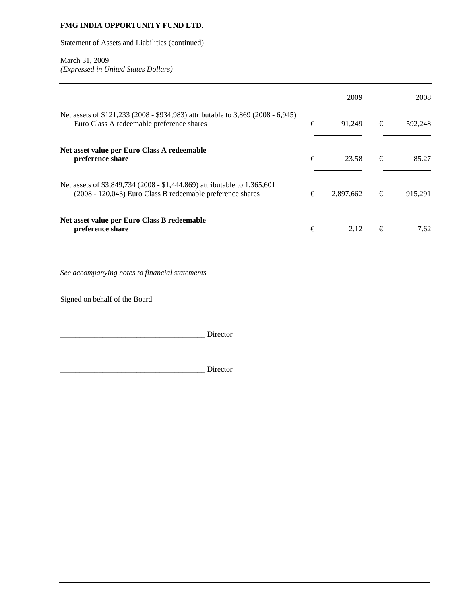Statement of Assets and Liabilities (continued)

# March 31, 2009

*(Expressed in United States Dollars)*

|                                                                                                                                        |   | 2009      |   | 2008    |
|----------------------------------------------------------------------------------------------------------------------------------------|---|-----------|---|---------|
| Net assets of \$121,233 (2008 - \$934,983) attributable to 3,869 (2008 - 6,945)<br>Euro Class A redeemable preference shares           | € | 91,249    | € | 592,248 |
| Net asset value per Euro Class A redeemable<br>preference share                                                                        | € | 23.58     | € | 85.27   |
| Net assets of \$3,849,734 (2008 - \$1,444,869) attributable to 1,365,601<br>(2008 - 120,043) Euro Class B redeemable preference shares | € | 2,897,662 | € | 915,291 |
| Net asset value per Euro Class B redeemable<br>preference share                                                                        | € | 2.12      | € | 7.62    |

*See accompanying notes to financial statements* 

Signed on behalf of the Board

\_\_\_\_\_\_\_\_\_\_\_\_\_\_\_\_\_\_\_\_\_\_\_\_\_\_\_\_\_\_\_\_\_\_\_\_\_\_ Director

\_\_\_\_\_\_\_\_\_\_\_\_\_\_\_\_\_\_\_\_\_\_\_\_\_\_\_\_\_\_\_\_\_\_\_\_\_\_ Director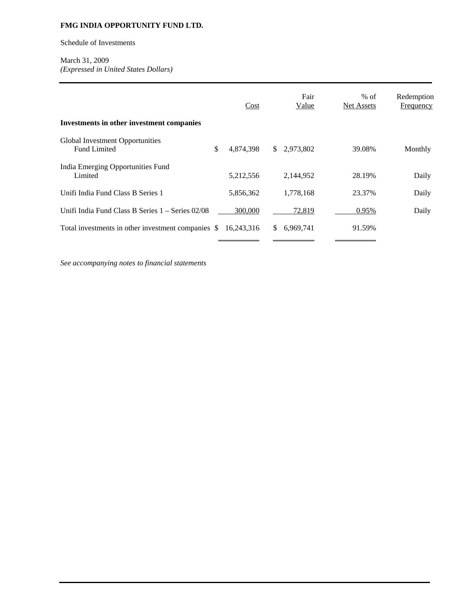Schedule of Investments

# March 31, 2009 *(Expressed in United States Dollars)*

| Investments in other investment companies              | Cost            |               | Fair<br>Value | $%$ of<br>Net Assets | Redemption<br>Frequency |
|--------------------------------------------------------|-----------------|---------------|---------------|----------------------|-------------------------|
| Global Investment Opportunities<br><b>Fund Limited</b> | \$<br>4,874,398 | <sup>\$</sup> | 2,973,802     | 39.08%               | Monthly                 |
| India Emerging Opportunities Fund<br>Limited           | 5,212,556       |               | 2,144,952     | 28.19%               | Daily                   |
| Unifi India Fund Class B Series 1                      | 5,856,362       |               | 1.778.168     | 23.37%               | Daily                   |
| Unifi India Fund Class B Series $1 -$ Series $02/08$   | 300,000         |               | 72,819        | 0.95%                | Daily                   |
| Total investments in other investment companies \$     | 16.243.316      | \$.           | 6,969,741     | 91.59%               |                         |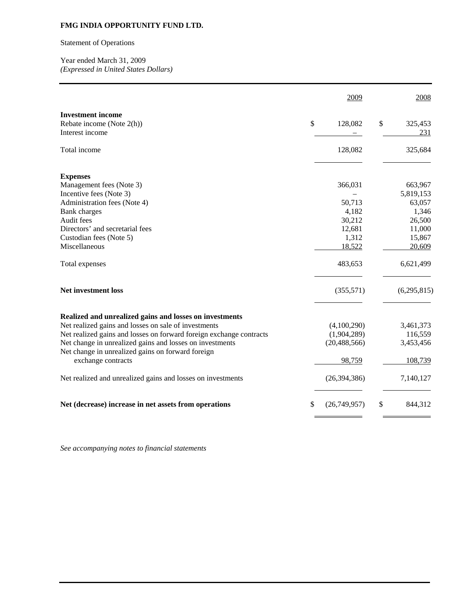# Statement of Operations

Year ended March 31, 2009 *(Expressed in United States Dollars)* 

|                                                                                | 2009            | 2008                 |
|--------------------------------------------------------------------------------|-----------------|----------------------|
| <b>Investment</b> income<br>\$<br>Rebate income (Note 2(h))<br>Interest income | 128,082         | \$<br>325,453<br>231 |
| Total income                                                                   | 128,082         | 325,684              |
| <b>Expenses</b>                                                                |                 |                      |
| Management fees (Note 3)                                                       | 366,031         | 663,967              |
| Incentive fees (Note 3)                                                        |                 | 5,819,153            |
| Administration fees (Note 4)                                                   | 50,713          | 63,057               |
| <b>Bank</b> charges                                                            | 4,182           | 1,346                |
| Audit fees<br>Directors' and secretarial fees                                  | 30,212          | 26,500               |
| Custodian fees (Note 5)                                                        | 12,681<br>1,312 | 11,000<br>15,867     |
| Miscellaneous                                                                  | 18,522          | 20,609               |
| Total expenses                                                                 | 483,653         | 6,621,499            |
| <b>Net investment loss</b>                                                     | (355,571)       | (6,295,815)          |
| Realized and unrealized gains and losses on investments                        |                 |                      |
| Net realized gains and losses on sale of investments                           | (4,100,290)     | 3,461,373            |
| Net realized gains and losses on forward foreign exchange contracts            | (1,904,289)     | 116,559              |
| Net change in unrealized gains and losses on investments                       | (20, 488, 566)  | 3,453,456            |
| Net change in unrealized gains on forward foreign                              |                 |                      |
| exchange contracts                                                             | 98,759          | 108,739              |
| Net realized and unrealized gains and losses on investments                    | (26, 394, 386)  | 7,140,127            |
| \$<br>Net (decrease) increase in net assets from operations                    | (26,749,957)    | \$<br>844,312        |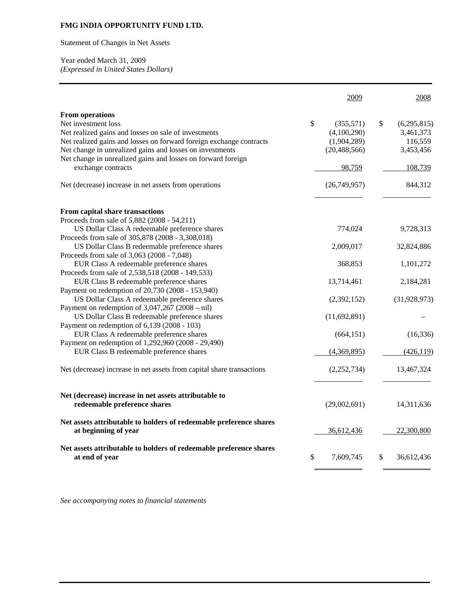Statement of Changes in Net Assets

Year ended March 31, 2009 *(Expressed in United States Dollars)* 

|                                                                                                                                                                                                                                                                                                                                | 2009                                                                      | 2008                                                              |
|--------------------------------------------------------------------------------------------------------------------------------------------------------------------------------------------------------------------------------------------------------------------------------------------------------------------------------|---------------------------------------------------------------------------|-------------------------------------------------------------------|
| <b>From operations</b><br>Net investment loss<br>Net realized gains and losses on sale of investments<br>Net realized gains and losses on forward foreign exchange contracts<br>Net change in unrealized gains and losses on investments<br>Net change in unrealized gains and losses on forward foreign<br>exchange contracts | \$<br>(355,571)<br>(4,100,290)<br>(1,904,289)<br>(20, 488, 566)<br>98,759 | \$<br>(6,295,815)<br>3,461,373<br>116,559<br>3,453,456<br>108,739 |
| Net (decrease) increase in net assets from operations                                                                                                                                                                                                                                                                          | (26,749,957)                                                              | 844,312                                                           |
| From capital share transactions<br>Proceeds from sale of 5,882 (2008 - 54,211)                                                                                                                                                                                                                                                 |                                                                           |                                                                   |
| US Dollar Class A redeemable preference shares<br>Proceeds from sale of 305,878 (2008 - 3,308,018)                                                                                                                                                                                                                             | 774,024                                                                   | 9,728,313                                                         |
| US Dollar Class B redeemable preference shares                                                                                                                                                                                                                                                                                 | 2,009,017                                                                 | 32,824,886                                                        |
| Proceeds from sale of 3,063 (2008 - 7,048)<br>EUR Class A redeemable preference shares                                                                                                                                                                                                                                         | 368,853                                                                   | 1,101,272                                                         |
| Proceeds from sale of 2,538,518 (2008 - 149,533)<br>EUR Class B redeemable preference shares                                                                                                                                                                                                                                   | 13,714,461                                                                | 2,184,281                                                         |
| Payment on redemption of 20,730 (2008 - 153,940)<br>US Dollar Class A redeemable preference shares                                                                                                                                                                                                                             | (2,392,152)                                                               | (31, 928, 973)                                                    |
| Payment on redemption of $3,047,267$ (2008 – nil)<br>US Dollar Class B redeemable preference shares<br>Payment on redemption of 6,139 (2008 - 103)                                                                                                                                                                             | (11,692,891)                                                              |                                                                   |
| EUR Class A redeemable preference shares                                                                                                                                                                                                                                                                                       | (664, 151)                                                                | (16, 336)                                                         |
| Payment on redemption of 1,292,960 (2008 - 29,490)<br>EUR Class B redeemable preference shares                                                                                                                                                                                                                                 | (4,369,895)                                                               | (426, 119)                                                        |
| Net (decrease) increase in net assets from capital share transactions                                                                                                                                                                                                                                                          | (2,252,734)                                                               | 13,467,324                                                        |
| Net (decrease) increase in net assets attributable to<br>redeemable preference shares                                                                                                                                                                                                                                          | (29,002,691)                                                              | 14,311,636                                                        |
| Net assets attributable to holders of redeemable preference shares<br>at beginning of year                                                                                                                                                                                                                                     | 36,612,436                                                                | 22,300,800                                                        |
| Net assets attributable to holders of redeemable preference shares<br>at end of year                                                                                                                                                                                                                                           | \$<br>7,609,745                                                           | \$<br>36,612,436                                                  |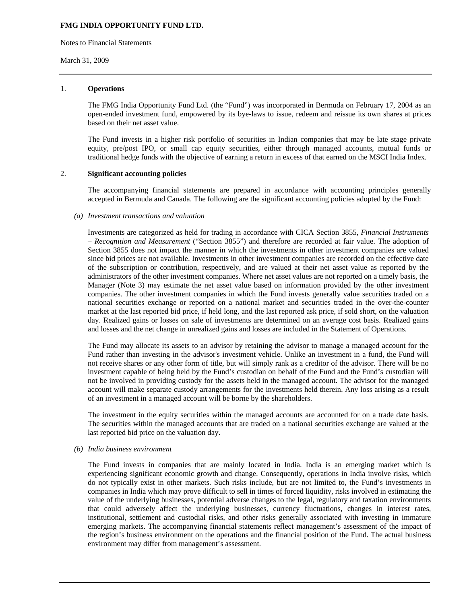Notes to Financial Statements

#### March 31, 2009

#### 1. **Operations**

The FMG India Opportunity Fund Ltd. (the "Fund") was incorporated in Bermuda on February 17, 2004 as an open-ended investment fund, empowered by its bye-laws to issue, redeem and reissue its own shares at prices based on their net asset value.

The Fund invests in a higher risk portfolio of securities in Indian companies that may be late stage private equity, pre/post IPO, or small cap equity securities, either through managed accounts, mutual funds or traditional hedge funds with the objective of earning a return in excess of that earned on the MSCI India Index.

#### 2. **Significant accounting policies**

The accompanying financial statements are prepared in accordance with accounting principles generally accepted in Bermuda and Canada. The following are the significant accounting policies adopted by the Fund:

#### *(a) Investment transactions and valuation*

Investments are categorized as held for trading in accordance with CICA Section 3855, *Financial Instruments – Recognition and Measurement* ("Section 3855") and therefore are recorded at fair value. The adoption of Section 3855 does not impact the manner in which the investments in other investment companies are valued since bid prices are not available. Investments in other investment companies are recorded on the effective date of the subscription or contribution, respectively, and are valued at their net asset value as reported by the administrators of the other investment companies. Where net asset values are not reported on a timely basis, the Manager (Note 3) may estimate the net asset value based on information provided by the other investment companies. The other investment companies in which the Fund invests generally value securities traded on a national securities exchange or reported on a national market and securities traded in the over-the-counter market at the last reported bid price, if held long, and the last reported ask price, if sold short, on the valuation day. Realized gains or losses on sale of investments are determined on an average cost basis. Realized gains and losses and the net change in unrealized gains and losses are included in the Statement of Operations.

The Fund may allocate its assets to an advisor by retaining the advisor to manage a managed account for the Fund rather than investing in the advisor's investment vehicle. Unlike an investment in a fund, the Fund will not receive shares or any other form of title, but will simply rank as a creditor of the advisor. There will be no investment capable of being held by the Fund's custodian on behalf of the Fund and the Fund's custodian will not be involved in providing custody for the assets held in the managed account. The advisor for the managed account will make separate custody arrangements for the investments held therein. Any loss arising as a result of an investment in a managed account will be borne by the shareholders.

The investment in the equity securities within the managed accounts are accounted for on a trade date basis. The securities within the managed accounts that are traded on a national securities exchange are valued at the last reported bid price on the valuation day.

#### *(b) India business environment*

The Fund invests in companies that are mainly located in India. India is an emerging market which is experiencing significant economic growth and change. Consequently, operations in India involve risks, which do not typically exist in other markets. Such risks include, but are not limited to, the Fund's investments in companies in India which may prove difficult to sell in times of forced liquidity, risks involved in estimating the value of the underlying businesses, potential adverse changes to the legal, regulatory and taxation environments that could adversely affect the underlying businesses, currency fluctuations, changes in interest rates, institutional, settlement and custodial risks, and other risks generally associated with investing in immature emerging markets. The accompanying financial statements reflect management's assessment of the impact of the region's business environment on the operations and the financial position of the Fund. The actual business environment may differ from management's assessment.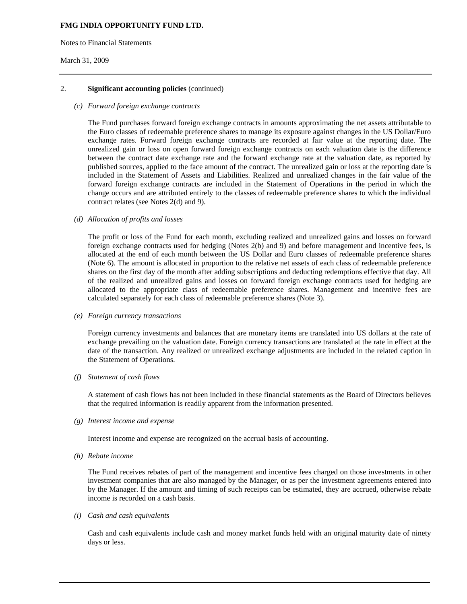Notes to Financial Statements

## March 31, 2009

## 2. **Significant accounting policies** (continued)

#### *(c) Forward foreign exchange contracts*

The Fund purchases forward foreign exchange contracts in amounts approximating the net assets attributable to the Euro classes of redeemable preference shares to manage its exposure against changes in the US Dollar/Euro exchange rates. Forward foreign exchange contracts are recorded at fair value at the reporting date. The unrealized gain or loss on open forward foreign exchange contracts on each valuation date is the difference between the contract date exchange rate and the forward exchange rate at the valuation date, as reported by published sources, applied to the face amount of the contract. The unrealized gain or loss at the reporting date is included in the Statement of Assets and Liabilities. Realized and unrealized changes in the fair value of the forward foreign exchange contracts are included in the Statement of Operations in the period in which the change occurs and are attributed entirely to the classes of redeemable preference shares to which the individual contract relates (see Notes 2(d) and 9).

## *(d) Allocation of profits and losses*

The profit or loss of the Fund for each month, excluding realized and unrealized gains and losses on forward foreign exchange contracts used for hedging (Notes 2(b) and 9) and before management and incentive fees, is allocated at the end of each month between the US Dollar and Euro classes of redeemable preference shares (Note 6). The amount is allocated in proportion to the relative net assets of each class of redeemable preference shares on the first day of the month after adding subscriptions and deducting redemptions effective that day. All of the realized and unrealized gains and losses on forward foreign exchange contracts used for hedging are allocated to the appropriate class of redeemable preference shares. Management and incentive fees are calculated separately for each class of redeemable preference shares (Note 3).

#### *(e) Foreign currency transactions*

Foreign currency investments and balances that are monetary items are translated into US dollars at the rate of exchange prevailing on the valuation date. Foreign currency transactions are translated at the rate in effect at the date of the transaction. Any realized or unrealized exchange adjustments are included in the related caption in the Statement of Operations.

#### *(f) Statement of cash flows*

A statement of cash flows has not been included in these financial statements as the Board of Directors believes that the required information is readily apparent from the information presented.

#### *(g) Interest income and expense*

Interest income and expense are recognized on the accrual basis of accounting.

*(h) Rebate income* 

 The Fund receives rebates of part of the management and incentive fees charged on those investments in other investment companies that are also managed by the Manager, or as per the investment agreements entered into by the Manager. If the amount and timing of such receipts can be estimated, they are accrued, otherwise rebate income is recorded on a cash basis.

#### *(i) Cash and cash equivalents*

Cash and cash equivalents include cash and money market funds held with an original maturity date of ninety days or less.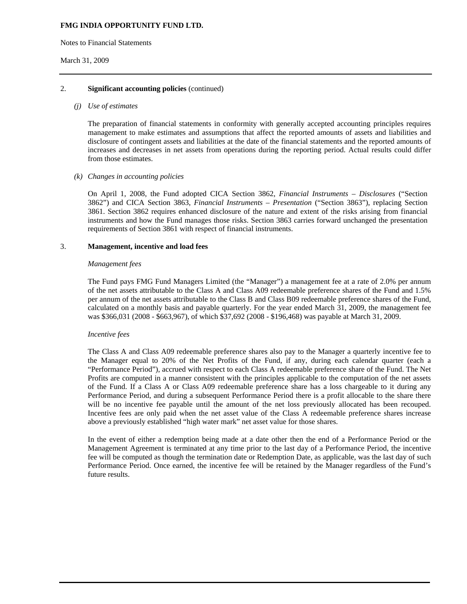Notes to Financial Statements

## March 31, 2009

## 2. **Significant accounting policies** (continued)

#### *(j) Use of estimates*

The preparation of financial statements in conformity with generally accepted accounting principles requires management to make estimates and assumptions that affect the reported amounts of assets and liabilities and disclosure of contingent assets and liabilities at the date of the financial statements and the reported amounts of increases and decreases in net assets from operations during the reporting period. Actual results could differ from those estimates.

## *(k) Changes in accounting policies*

On April 1, 2008, the Fund adopted CICA Section 3862, *Financial Instruments – Disclosures* ("Section 3862") and CICA Section 3863, *Financial Instruments – Presentation* ("Section 3863"), replacing Section 3861. Section 3862 requires enhanced disclosure of the nature and extent of the risks arising from financial instruments and how the Fund manages those risks. Section 3863 carries forward unchanged the presentation requirements of Section 3861 with respect of financial instruments.

## 3. **Management, incentive and load fees**

#### *Management fees*

The Fund pays FMG Fund Managers Limited (the "Manager") a management fee at a rate of 2.0% per annum of the net assets attributable to the Class A and Class A09 redeemable preference shares of the Fund and 1.5% per annum of the net assets attributable to the Class B and Class B09 redeemable preference shares of the Fund, calculated on a monthly basis and payable quarterly. For the year ended March 31, 2009, the management fee was \$366,031 (2008 - \$663,967), of which \$37,692 (2008 - \$196,468) was payable at March 31, 2009.

#### *Incentive fees*

The Class A and Class A09 redeemable preference shares also pay to the Manager a quarterly incentive fee to the Manager equal to 20% of the Net Profits of the Fund, if any, during each calendar quarter (each a "Performance Period"), accrued with respect to each Class A redeemable preference share of the Fund. The Net Profits are computed in a manner consistent with the principles applicable to the computation of the net assets of the Fund. If a Class A or Class A09 redeemable preference share has a loss chargeable to it during any Performance Period, and during a subsequent Performance Period there is a profit allocable to the share there will be no incentive fee payable until the amount of the net loss previously allocated has been recouped. Incentive fees are only paid when the net asset value of the Class A redeemable preference shares increase above a previously established "high water mark" net asset value for those shares.

In the event of either a redemption being made at a date other then the end of a Performance Period or the Management Agreement is terminated at any time prior to the last day of a Performance Period, the incentive fee will be computed as though the termination date or Redemption Date, as applicable, was the last day of such Performance Period. Once earned, the incentive fee will be retained by the Manager regardless of the Fund's future results.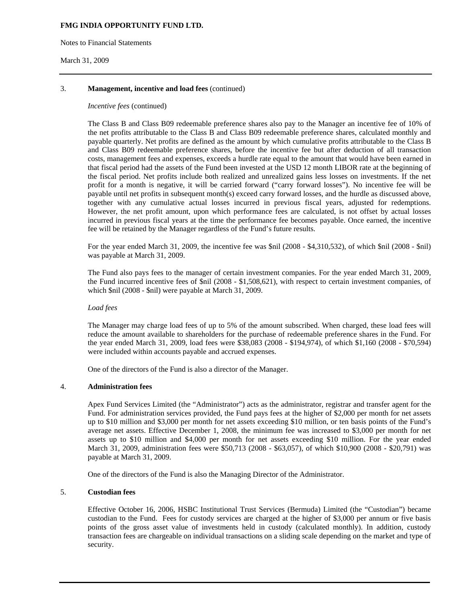Notes to Financial Statements

### March 31, 2009

## 3. **Management, incentive and load fees** (continued)

#### *Incentive fees* (continued)

The Class B and Class B09 redeemable preference shares also pay to the Manager an incentive fee of 10% of the net profits attributable to the Class B and Class B09 redeemable preference shares, calculated monthly and payable quarterly. Net profits are defined as the amount by which cumulative profits attributable to the Class B and Class B09 redeemable preference shares, before the incentive fee but after deduction of all transaction costs, management fees and expenses, exceeds a hurdle rate equal to the amount that would have been earned in that fiscal period had the assets of the Fund been invested at the USD 12 month LIBOR rate at the beginning of the fiscal period. Net profits include both realized and unrealized gains less losses on investments. If the net profit for a month is negative, it will be carried forward ("carry forward losses"). No incentive fee will be payable until net profits in subsequent month(s) exceed carry forward losses, and the hurdle as discussed above, together with any cumulative actual losses incurred in previous fiscal years, adjusted for redemptions. However, the net profit amount, upon which performance fees are calculated, is not offset by actual losses incurred in previous fiscal years at the time the performance fee becomes payable. Once earned, the incentive fee will be retained by the Manager regardless of the Fund's future results.

For the year ended March 31, 2009, the incentive fee was \$nil (2008 - \$4,310,532), of which \$nil (2008 - \$nil) was payable at March 31, 2009.

The Fund also pays fees to the manager of certain investment companies. For the year ended March 31, 2009, the Fund incurred incentive fees of \$nil (2008 - \$1,508,621), with respect to certain investment companies, of which \$nil (2008 - \$nil) were payable at March 31, 2009.

#### *Load fees*

The Manager may charge load fees of up to 5% of the amount subscribed. When charged, these load fees will reduce the amount available to shareholders for the purchase of redeemable preference shares in the Fund. For the year ended March 31, 2009, load fees were \$38,083 (2008 - \$194,974), of which \$1,160 (2008 - \$70,594) were included within accounts payable and accrued expenses.

One of the directors of the Fund is also a director of the Manager.

#### 4. **Administration fees**

Apex Fund Services Limited (the "Administrator") acts as the administrator, registrar and transfer agent for the Fund. For administration services provided, the Fund pays fees at the higher of \$2,000 per month for net assets up to \$10 million and \$3,000 per month for net assets exceeding \$10 million, or ten basis points of the Fund's average net assets. Effective December 1, 2008, the minimum fee was increased to \$3,000 per month for net assets up to \$10 million and \$4,000 per month for net assets exceeding \$10 million. For the year ended March 31, 2009, administration fees were \$50,713 (2008 - \$63,057), of which \$10,900 (2008 - \$20,791) was payable at March 31, 2009.

One of the directors of the Fund is also the Managing Director of the Administrator.

# 5. **Custodian fees**

Effective October 16, 2006, HSBC Institutional Trust Services (Bermuda) Limited (the "Custodian") became custodian to the Fund. Fees for custody services are charged at the higher of \$3,000 per annum or five basis points of the gross asset value of investments held in custody (calculated monthly). In addition, custody transaction fees are chargeable on individual transactions on a sliding scale depending on the market and type of security.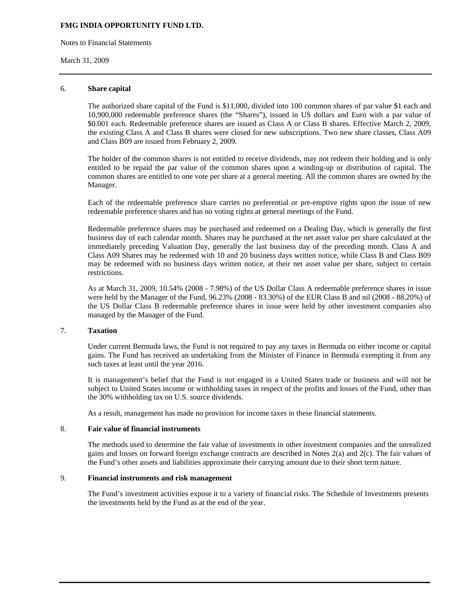Notes to Financial Statements

#### March 31, 2009

#### 6. **Share capital**

The authorized share capital of the Fund is \$11,000, divided into 100 common shares of par value \$1 each and 10,900,000 redeemable preference shares (the "Shares"), issued in US dollars and Euro with a par value of \$0.001 each. Redeemable preference shares are issued as Class A or Class B shares. Effective March 2, 2009, the existing Class A and Class B shares were closed for new subscriptions. Two new share classes, Class A09 and Class B09 are issued from February 2, 2009.

The holder of the common shares is not entitled to receive dividends, may not redeem their holding and is only entitled to be repaid the par value of the common shares upon a winding-up or distribution of capital. The common shares are entitled to one vote per share at a general meeting. All the common shares are owned by the Manager.

Each of the redeemable preference share carries no preferential or pre-emptive rights upon the issue of new redeemable preference shares and has no voting rights at general meetings of the Fund.

Redeemable preference shares may be purchased and redeemed on a Dealing Day, which is generally the first business day of each calendar month. Shares may be purchased at the net asset value per share calculated at the immediately preceding Valuation Day, generally the last business day of the preceding month. Class A and Class A09 Shares may be redeemed with 10 and 20 business days written notice, while Class B and Class B09 may be redeemed with no business days written notice, at their net asset value per share, subject to certain restrictions.

As at March 31, 2009, 10.54% (2008 - 7.98%) of the US Dollar Class A redeemable preference shares in issue were held by the Manager of the Fund, 96.23% (2008 - 83.30%) of the EUR Class B and nil (2008 - 88.20%) of the US Dollar Class B redeemable preference shares in issue were held by other investment companies also managed by the Manager of the Fund.

## 7. **Taxation**

 Under current Bermuda laws, the Fund is not required to pay any taxes in Bermuda on either income or capital gains. The Fund has received an undertaking from the Minister of Finance in Bermuda exempting it from any such taxes at least until the year 2016.

 It is management's belief that the Fund is not engaged in a United States trade or business and will not be subject to United States income or withholding taxes in respect of the profits and losses of the Fund, other than the 30% withholding tax on U.S. source dividends.

As a result, management has made no provision for income taxes in these financial statements.

#### 8. **Fair value of financial instruments**

 The methods used to determine the fair value of investments in other investment companies and the unrealized gains and losses on forward foreign exchange contracts are described in Notes 2(a) and 2(c). The fair values of the Fund's other assets and liabilities approximate their carrying amount due to their short term nature.

## 9. **Financial instruments and risk management**

The Fund's investment activities expose it to a variety of financial risks. The Schedule of Investments presents the investments held by the Fund as at the end of the year.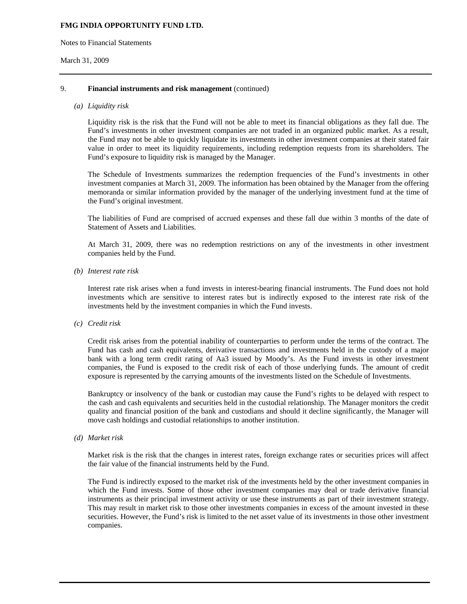Notes to Financial Statements

### March 31, 2009

## 9. **Financial instruments and risk management** (continued)

#### *(a) Liquidity risk*

Liquidity risk is the risk that the Fund will not be able to meet its financial obligations as they fall due. The Fund's investments in other investment companies are not traded in an organized public market. As a result, the Fund may not be able to quickly liquidate its investments in other investment companies at their stated fair value in order to meet its liquidity requirements, including redemption requests from its shareholders. The Fund's exposure to liquidity risk is managed by the Manager.

The Schedule of Investments summarizes the redemption frequencies of the Fund's investments in other investment companies at March 31, 2009. The information has been obtained by the Manager from the offering memoranda or similar information provided by the manager of the underlying investment fund at the time of the Fund's original investment.

The liabilities of Fund are comprised of accrued expenses and these fall due within 3 months of the date of Statement of Assets and Liabilities.

At March 31, 2009, there was no redemption restrictions on any of the investments in other investment companies held by the Fund.

*(b) Interest rate risk* 

Interest rate risk arises when a fund invests in interest-bearing financial instruments. The Fund does not hold investments which are sensitive to interest rates but is indirectly exposed to the interest rate risk of the investments held by the investment companies in which the Fund invests.

*(c) Credit risk* 

Credit risk arises from the potential inability of counterparties to perform under the terms of the contract. The Fund has cash and cash equivalents, derivative transactions and investments held in the custody of a major bank with a long term credit rating of Aa3 issued by Moody's. As the Fund invests in other investment companies, the Fund is exposed to the credit risk of each of those underlying funds. The amount of credit exposure is represented by the carrying amounts of the investments listed on the Schedule of Investments.

Bankruptcy or insolvency of the bank or custodian may cause the Fund's rights to be delayed with respect to the cash and cash equivalents and securities held in the custodial relationship. The Manager monitors the credit quality and financial position of the bank and custodians and should it decline significantly, the Manager will move cash holdings and custodial relationships to another institution.

*(d) Market risk* 

Market risk is the risk that the changes in interest rates, foreign exchange rates or securities prices will affect the fair value of the financial instruments held by the Fund.

The Fund is indirectly exposed to the market risk of the investments held by the other investment companies in which the Fund invests. Some of those other investment companies may deal or trade derivative financial instruments as their principal investment activity or use these instruments as part of their investment strategy. This may result in market risk to those other investments companies in excess of the amount invested in these securities. However, the Fund's risk is limited to the net asset value of its investments in those other investment companies.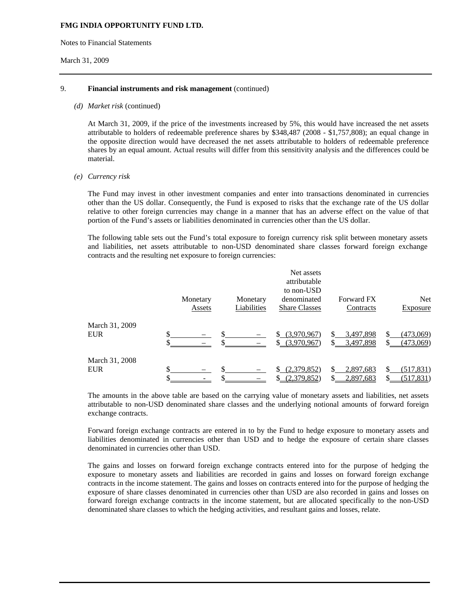Notes to Financial Statements

#### March 31, 2009

### 9. **Financial instruments and risk management** (continued)

#### *(d) Market risk* (continued)

At March 31, 2009, if the price of the investments increased by 5%, this would have increased the net assets attributable to holders of redeemable preference shares by \$348,487 (2008 - \$1,757,808); an equal change in the opposite direction would have decreased the net assets attributable to holders of redeemable preference shares by an equal amount. Actual results will differ from this sensitivity analysis and the differences could be material.

#### *(e) Currency risk*

The Fund may invest in other investment companies and enter into transactions denominated in currencies other than the US dollar. Consequently, the Fund is exposed to risks that the exchange rate of the US dollar relative to other foreign currencies may change in a manner that has an adverse effect on the value of that portion of the Fund's assets or liabilities denominated in currencies other than the US dollar.

The following table sets out the Fund's total exposure to foreign currency risk split between monetary assets and liabilities, net assets attributable to non-USD denominated share classes forward foreign exchange contracts and the resulting net exposure to foreign currencies:

|                              | Monetary<br>Assets | Monetary<br>Liabilities | Net assets<br>attributable<br>to non-USD<br>denominated<br><b>Share Classes</b> | <b>Forward FX</b><br>Contracts | <b>Net</b><br>Exposure   |
|------------------------------|--------------------|-------------------------|---------------------------------------------------------------------------------|--------------------------------|--------------------------|
| March 31, 2009<br><b>EUR</b> |                    |                         | (3,970,967)<br>\$.<br>\$ (3,970,967)                                            | 3,497,898<br>3,497,898         | (473,069)<br>(473,069)   |
| March 31, 2008<br><b>EUR</b> |                    |                         | (2,379,852)<br>S.<br>(2,379,852)                                                | 2,897,683<br>2,897,683         | (517, 831)<br>(517, 831) |

The amounts in the above table are based on the carrying value of monetary assets and liabilities, net assets attributable to non-USD denominated share classes and the underlying notional amounts of forward foreign exchange contracts.

Forward foreign exchange contracts are entered in to by the Fund to hedge exposure to monetary assets and liabilities denominated in currencies other than USD and to hedge the exposure of certain share classes denominated in currencies other than USD.

The gains and losses on forward foreign exchange contracts entered into for the purpose of hedging the exposure to monetary assets and liabilities are recorded in gains and losses on forward foreign exchange contracts in the income statement. The gains and losses on contracts entered into for the purpose of hedging the exposure of share classes denominated in currencies other than USD are also recorded in gains and losses on forward foreign exchange contracts in the income statement, but are allocated specifically to the non-USD denominated share classes to which the hedging activities, and resultant gains and losses, relate.